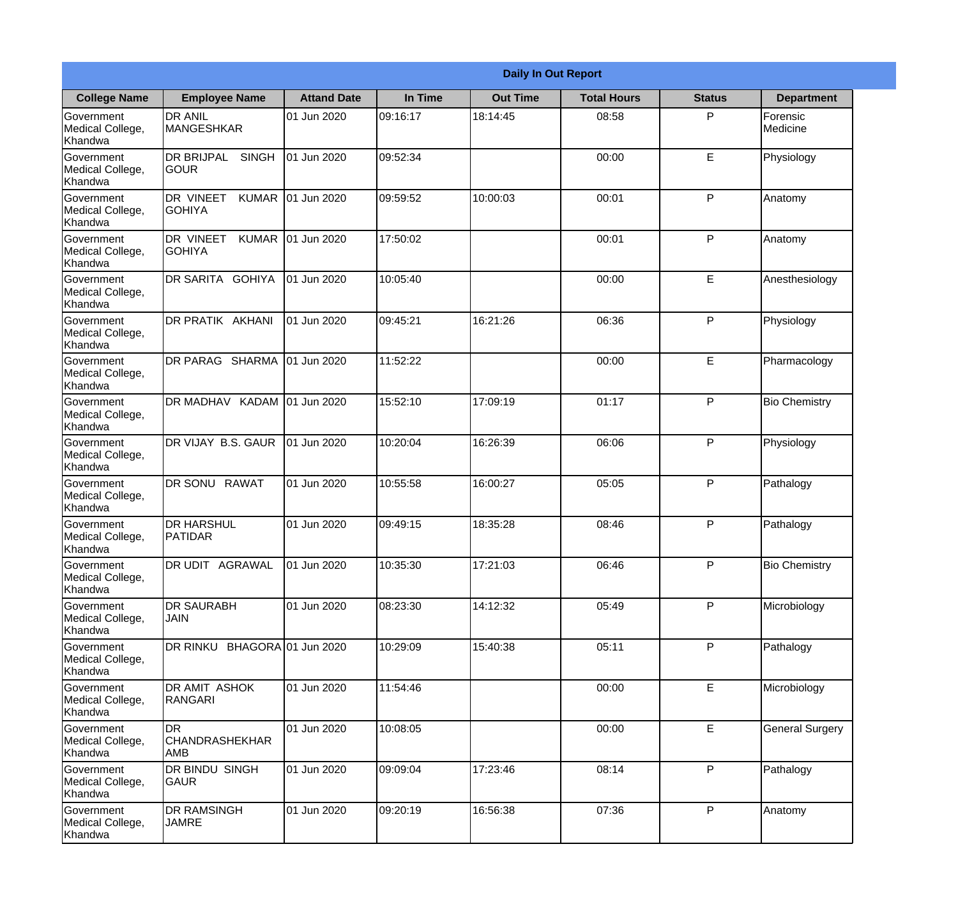|                                                  |                                            |                    |          | <b>Daily In Out Report</b> |                    |               |                        |
|--------------------------------------------------|--------------------------------------------|--------------------|----------|----------------------------|--------------------|---------------|------------------------|
| <b>College Name</b>                              | <b>Employee Name</b>                       | <b>Attand Date</b> | In Time  | <b>Out Time</b>            | <b>Total Hours</b> | <b>Status</b> | <b>Department</b>      |
| Government<br>Medical College,<br>Khandwa        | <b>DR ANIL</b><br>MANGESHKAR               | 01 Jun 2020        | 09:16:17 | 18:14:45                   | 08:58              | P             | Forensic<br>Medicine   |
| Government<br>Medical College,<br>Khandwa        | <b>DR BRIJPAL</b><br><b>SINGH</b><br> GOUR | 01 Jun 2020        | 09:52:34 |                            | 00:00              | E             | Physiology             |
| <b>Government</b><br>Medical College,<br>Khandwa | DR VINEET<br><b>KUMAR</b><br>IGOHIYA       | 01 Jun 2020        | 09:59:52 | 10:00:03                   | 00:01              | P             | Anatomy                |
| Government<br>Medical College,<br>Khandwa        | DR VINEET<br><b>KUMAR</b><br><b>GOHIYA</b> | 01 Jun 2020        | 17:50:02 |                            | 00:01              | P             | Anatomy                |
| <b>Government</b><br>Medical College,<br>Khandwa | <b>DR SARITA GOHIYA</b>                    | 01 Jun 2020        | 10:05:40 |                            | 00:00              | E             | Anesthesiology         |
| Government<br>Medical College,<br>Khandwa        | DR PRATIK AKHANI                           | 01 Jun 2020        | 09:45:21 | 16:21:26                   | 06:36              | P             | Physiology             |
| Government<br>Medical College,<br>Khandwa        | DR PARAG SHARMA                            | 01 Jun 2020        | 11:52:22 |                            | 00:00              | E             | Pharmacology           |
| Government<br>Medical College,<br>Khandwa        | DR MADHAV KADAM 01 Jun 2020                |                    | 15:52:10 | 17:09:19                   | 01:17              | P             | <b>Bio Chemistry</b>   |
| Government<br>Medical College,<br>Khandwa        | DR VIJAY B.S. GAUR                         | 01 Jun 2020        | 10:20:04 | 16:26:39                   | 06:06              | P             | Physiology             |
| Government<br>Medical College,<br>Khandwa        | DR SONU<br><b>RAWAT</b>                    | 01 Jun 2020        | 10:55:58 | 16:00:27                   | 05:05              | P             | Pathalogy              |
| Government<br>Medical College,<br>Khandwa        | <b>DR HARSHUL</b><br><b>PATIDAR</b>        | 01 Jun 2020        | 09:49:15 | 18:35:28                   | 08:46              | P             | Pathalogy              |
| Government<br>Medical College,<br>Khandwa        | DR UDIT AGRAWAL                            | 01 Jun 2020        | 10:35:30 | 17:21:03                   | 06:46              | P             | <b>Bio Chemistry</b>   |
| Government<br>Medical College,<br>Khandwa        | <b>DR SAURABH</b><br><b>JAIN</b>           | 01 Jun 2020        | 08:23:30 | 14:12:32                   | 05:49              | P             | Microbiology           |
| Government<br>Medical College,<br>Khandwa        | DR RINKU BHAGORA 01 Jun 2020               |                    | 10:29:09 | 15:40:38                   | 05:11              | P             | Pathalogy              |
| Government<br>Medical College,<br>Khandwa        | DR AMIT ASHOK<br><b>RANGARI</b>            | 01 Jun 2020        | 11:54:46 |                            | 00:00              | E             | Microbiology           |
| Government<br>Medical College,<br>Khandwa        | DR<br><b>CHANDRASHEKHAR</b><br>AMB         | 01 Jun 2020        | 10:08:05 |                            | 00:00              | $\mathsf E$   | <b>General Surgery</b> |
| Government<br>Medical College,<br>Khandwa        | DR BINDU SINGH<br><b>GAUR</b>              | 01 Jun 2020        | 09:09:04 | 17:23:46                   | 08:14              | P             | Pathalogy              |
| Government<br>Medical College,<br>Khandwa        | <b>DR RAMSINGH</b><br><b>JAMRE</b>         | 01 Jun 2020        | 09:20:19 | 16:56:38                   | 07:36              | P             | Anatomy                |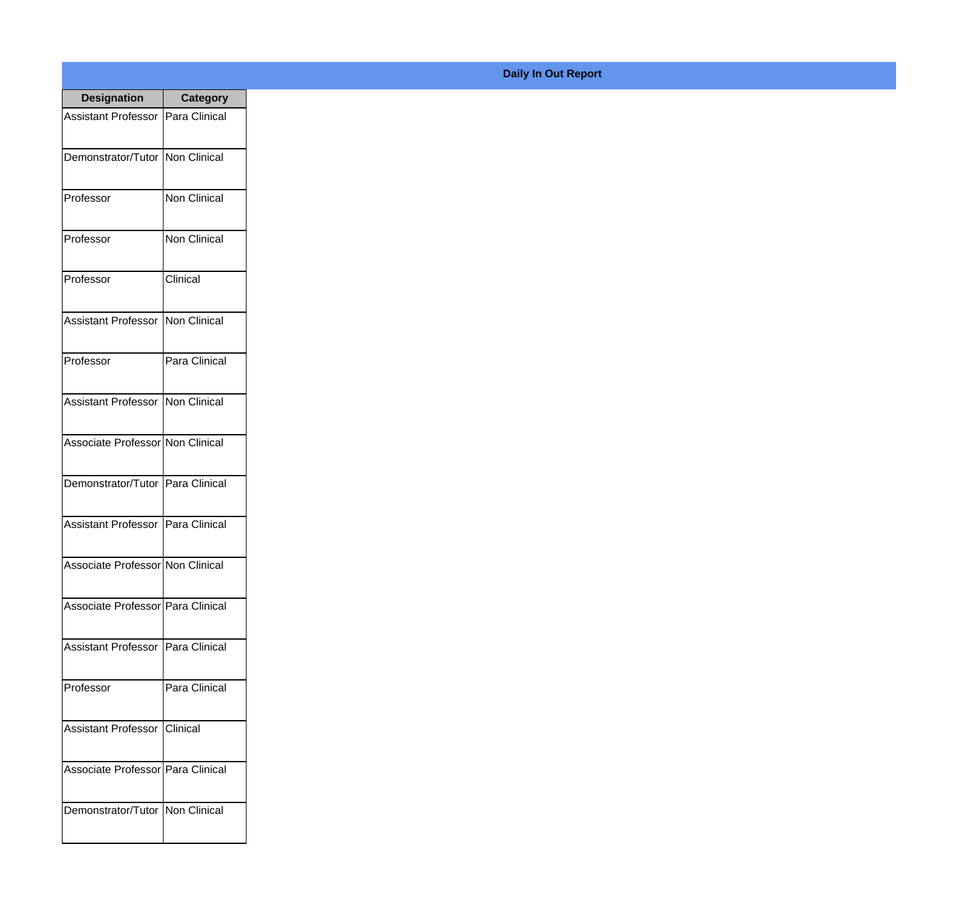| <b>Designation</b>                         | <b>Category</b> |
|--------------------------------------------|-----------------|
| <b>Assistant Professor   Para Clinical</b> |                 |
| Demonstrator/Tutor   Non Clinical          |                 |
| Professor                                  | Non Clinical    |
| Professor                                  | Non Clinical    |
| Professor                                  | Clinical        |
| <b>Assistant Professor</b>                 | Non Clinical    |
| Professor                                  | Para Clinical   |
| Assistant Professor   Non Clinical         |                 |
| Associate Professor Non Clinical           |                 |
| Demonstrator/Tutor                         | Para Clinical   |
| Assistant Professor                        | Para Clinical   |
| Associate Professor Non Clinical           |                 |
| Associate Professor   Para Clinical        |                 |
| Assistant Professor   Para Clinical        |                 |
| Professor                                  | Para Clinical   |
| <b>Assistant Professor</b>                 | <b>Clinical</b> |
| Associate Professor   Para Clinical        |                 |
| Demonstrator/Tutor   Non Clinical          |                 |

## **Daily In Out Report**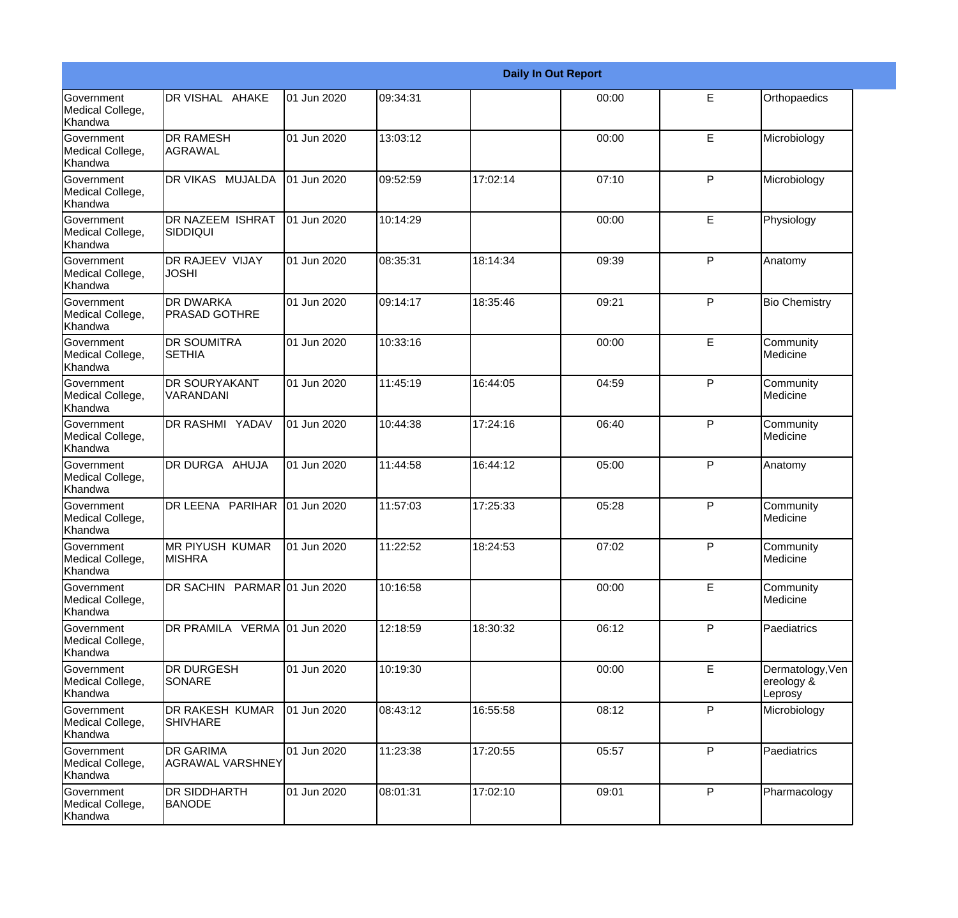|                                                  |                                             |             |          |          | <b>Daily In Out Report</b> |              |                                           |
|--------------------------------------------------|---------------------------------------------|-------------|----------|----------|----------------------------|--------------|-------------------------------------------|
| Government<br>Medical College,<br>Khandwa        | DR VISHAL AHAKE                             | 01 Jun 2020 | 09:34:31 |          | 00:00                      | E            | Orthopaedics                              |
| Government<br>Medical College,<br>Khandwa        | <b>DR RAMESH</b><br> AGRAWAL                | 01 Jun 2020 | 13:03:12 |          | 00:00                      | E            | Microbiology                              |
| <b>Government</b><br>Medical College,<br>Khandwa | DR VIKAS MUJALDA                            | 01 Jun 2020 | 09:52:59 | 17:02:14 | 07:10                      | P            | Microbiology                              |
| <b>Government</b><br>Medical College,<br>Khandwa | DR NAZEEM ISHRAT<br><b>SIDDIQUI</b>         | 01 Jun 2020 | 10:14:29 |          | 00:00                      | E            | Physiology                                |
| Government<br>Medical College,<br>Khandwa        | <b>DR RAJEEV VIJAY</b><br><b>JOSHI</b>      | 01 Jun 2020 | 08:35:31 | 18:14:34 | 09:39                      | P            | Anatomy                                   |
| Government<br>Medical College,<br>Khandwa        | <b>DR DWARKA</b><br><b>PRASAD GOTHRE</b>    | 01 Jun 2020 | 09:14:17 | 18:35:46 | 09:21                      | $\mathsf{P}$ | <b>Bio Chemistry</b>                      |
| Government<br>Medical College,<br>Khandwa        | <b>DR SOUMITRA</b><br><b>SETHIA</b>         | 01 Jun 2020 | 10:33:16 |          | 00:00                      | E            | Community<br>Medicine                     |
| Government<br>Medical College,<br>Khandwa        | <b>DR SOURYAKANT</b><br>VARANDANI           | 01 Jun 2020 | 11:45:19 | 16:44:05 | 04:59                      | $\mathsf{P}$ | Community<br>Medicine                     |
| Government<br>Medical College,<br>Khandwa        | DR RASHMI YADAV                             | 01 Jun 2020 | 10:44:38 | 17:24:16 | 06:40                      | P            | Community<br>Medicine                     |
| <b>Government</b><br>Medical College,<br>Khandwa | DR DURGA AHUJA                              | 01 Jun 2020 | 11:44:58 | 16:44:12 | 05:00                      | P            | Anatomy                                   |
| <b>Government</b><br>Medical College,<br>Khandwa | DR LEENA PARIHAR                            | 01 Jun 2020 | 11:57:03 | 17:25:33 | 05:28                      | P            | Community<br>Medicine                     |
| Government<br>Medical College,<br>Khandwa        | <b>MR PIYUSH KUMAR</b><br><b>MISHRA</b>     | 01 Jun 2020 | 11:22:52 | 18:24:53 | 07:02                      | P            | Community<br>Medicine                     |
| Government<br>Medical College,<br>Khandwa        | DR SACHIN PARMAR 01 Jun 2020                |             | 10:16:58 |          | 00:00                      | E            | Community<br>Medicine                     |
| <b>Government</b><br>Medical College,<br>Khandwa | DR PRAMILA VERMA 01 Jun 2020                |             | 12:18:59 | 18:30:32 | 06:12                      | $\mathsf{P}$ | Paediatrics                               |
| Government<br>Medical College,<br>Khandwa        | <b>DR DURGESH</b><br>SONARE                 | 01 Jun 2020 | 10:19:30 |          | 00:00                      | $\mathsf E$  | Dermatology, Ven<br>ereology &<br>Leprosy |
| Government<br>Medical College,<br>Khandwa        | DR RAKESH KUMAR<br><b>SHIVHARE</b>          | 01 Jun 2020 | 08:43:12 | 16:55:58 | 08:12                      | P            | Microbiology                              |
| Government<br>Medical College,<br>Khandwa        | <b>DR GARIMA</b><br><b>AGRAWAL VARSHNEY</b> | 01 Jun 2020 | 11:23:38 | 17:20:55 | 05:57                      | P            | Paediatrics                               |
| Government<br>Medical College,<br>Khandwa        | <b>DR SIDDHARTH</b><br><b>BANODE</b>        | 01 Jun 2020 | 08:01:31 | 17:02:10 | 09:01                      | $\mathsf{P}$ | Pharmacology                              |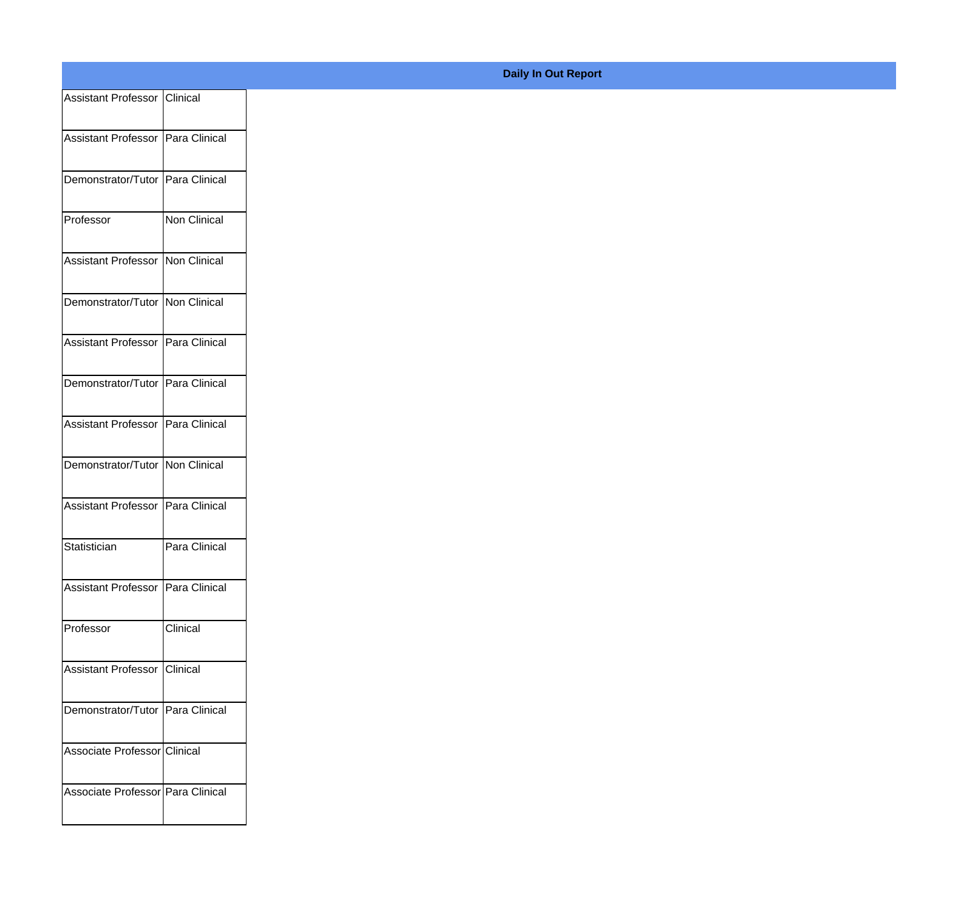| Assistant Professor   Clinical      |                     |  |
|-------------------------------------|---------------------|--|
| Assistant Professor   Para Clinical |                     |  |
| Demonstrator/Tutor   Para Clinical  |                     |  |
| Professor                           | <b>Non Clinical</b> |  |
| Assistant Professor                 | Non Clinical        |  |
| Demonstrator/Tutor   Non Clinical   |                     |  |
| Assistant Professor                 | Para Clinical       |  |
| Demonstrator/Tutor   Para Clinical  |                     |  |
| Assistant Professor   Para Clinical |                     |  |
| Demonstrator/Tutor   Non Clinical   |                     |  |
| Assistant Professor   Para Clinical |                     |  |
| Statistician                        | Para Clinical       |  |
| <b>Assistant Professor</b>          | Para Clinical       |  |
| Professor                           | Clinical            |  |
| Assistant Professor   Clinical      |                     |  |
| Demonstrator/Tutor Para Clinical    |                     |  |
| Associate Professor Clinical        |                     |  |
| Associate Professor   Para Clinical |                     |  |

## **Daily In Out Report**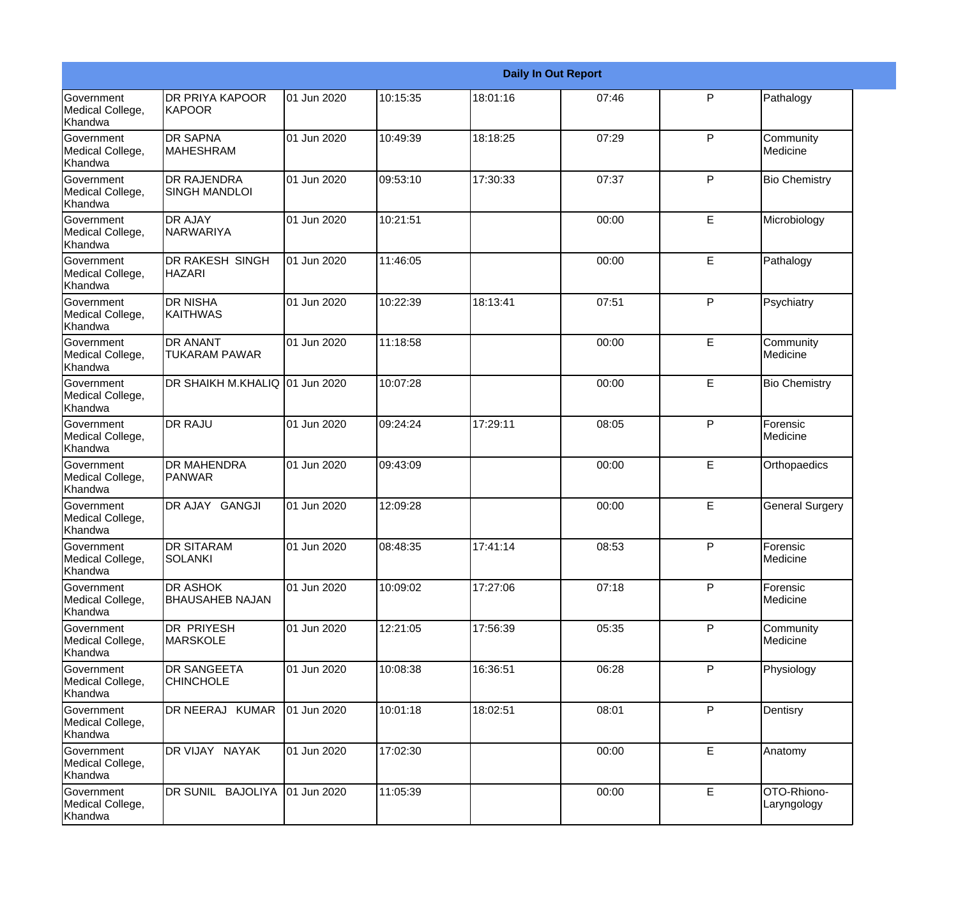|                                                  |                                            |             |          |          | <b>Daily In Out Report</b> |   |                             |
|--------------------------------------------------|--------------------------------------------|-------------|----------|----------|----------------------------|---|-----------------------------|
| <b>Government</b><br>Medical College,<br>Khandwa | <b>DR PRIYA KAPOOR</b><br><b>KAPOOR</b>    | 01 Jun 2020 | 10:15:35 | 18:01:16 | 07:46                      | P | Pathalogy                   |
| Government<br>Medical College,<br>Khandwa        | <b>DR SAPNA</b><br><b>MAHESHRAM</b>        | 01 Jun 2020 | 10:49:39 | 18:18:25 | 07:29                      | P | Community<br>Medicine       |
| <b>Government</b><br>Medical College,<br>Khandwa | <b>DR RAJENDRA</b><br><b>SINGH MANDLOI</b> | 01 Jun 2020 | 09:53:10 | 17:30:33 | 07:37                      | P | <b>Bio Chemistry</b>        |
| <b>Government</b><br>Medical College,<br>Khandwa | <b>DR AJAY</b><br>NARWARIYA                | 01 Jun 2020 | 10:21:51 |          | 00:00                      | E | Microbiology                |
| Government<br>Medical College,<br>Khandwa        | <b>DR RAKESH SINGH</b><br><b>HAZARI</b>    | 01 Jun 2020 | 11:46:05 |          | 00:00                      | E | Pathalogy                   |
| Government<br>Medical College,<br>Khandwa        | <b>DR NISHA</b><br><b>KAITHWAS</b>         | 01 Jun 2020 | 10:22:39 | 18:13:41 | 07:51                      | P | Psychiatry                  |
| <b>Government</b><br>Medical College,<br>Khandwa | <b>DR ANANT</b><br><b>TUKARAM PAWAR</b>    | 01 Jun 2020 | 11:18:58 |          | 00:00                      | E | Community<br>Medicine       |
| Government<br>Medical College,<br>Khandwa        | DR SHAIKH M.KHALIQ 01 Jun 2020             |             | 10:07:28 |          | 00:00                      | E | <b>Bio Chemistry</b>        |
| <b>Government</b><br>Medical College,<br>Khandwa | <b>DR RAJU</b>                             | 01 Jun 2020 | 09:24:24 | 17:29:11 | 08:05                      | P | Forensic<br>Medicine        |
| Government<br>Medical College,<br>Khandwa        | <b>DR MAHENDRA</b><br>PANWAR               | 01 Jun 2020 | 09:43:09 |          | 00:00                      | E | Orthopaedics                |
| <b>Government</b><br>Medical College,<br>Khandwa | DR AJAY GANGJI                             | 01 Jun 2020 | 12:09:28 |          | 00:00                      | E | <b>General Surgery</b>      |
| Government<br>Medical College,<br>Khandwa        | <b>DR SITARAM</b><br>SOLANKI               | 01 Jun 2020 | 08:48:35 | 17:41:14 | 08:53                      | P | <b>Forensic</b><br>Medicine |
| Government<br>Medical College,<br>Khandwa        | DR ASHOK<br><b>BHAUSAHEB NAJAN</b>         | 01 Jun 2020 | 10:09:02 | 17:27:06 | 07:18                      | P | Forensic<br>Medicine        |
| Government<br>Medical College,<br>Khandwa        | <b>DR PRIYESH</b><br><b>MARSKOLE</b>       | 01 Jun 2020 | 12:21:05 | 17:56:39 | 05:35                      | P | Community<br>Medicine       |
| Government<br>Medical College,<br>Khandwa        | <b>DR SANGEETA</b><br><b>CHINCHOLE</b>     | 01 Jun 2020 | 10:08:38 | 16:36:51 | 06:28                      | P | Physiology                  |
| Government<br>Medical College,<br>Khandwa        | DR NEERAJ KUMAR                            | 01 Jun 2020 | 10:01:18 | 18:02:51 | 08:01                      | P | Dentisry                    |
| Government<br>Medical College,<br>Khandwa        | DR VIJAY NAYAK                             | 01 Jun 2020 | 17:02:30 |          | 00:00                      | E | Anatomy                     |
| Government<br>Medical College,<br>Khandwa        | DR SUNIL BAJOLIYA                          | 01 Jun 2020 | 11:05:39 |          | 00:00                      | E | OTO-Rhiono-<br>Laryngology  |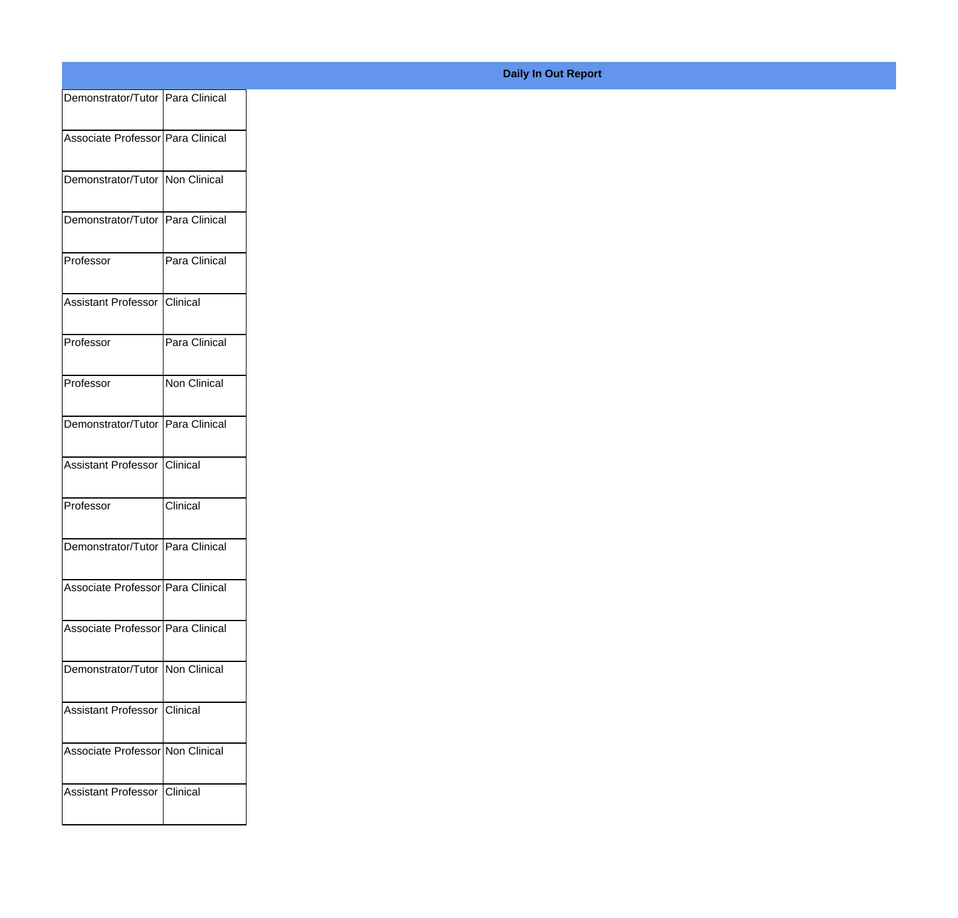| Demonstrator/Tutor Para Clinical    |               |
|-------------------------------------|---------------|
| Associate Professor Para Clinical   |               |
|                                     |               |
| Demonstrator/Tutor Non Clinical     |               |
| Demonstrator/Tutor Para Clinical    |               |
|                                     |               |
| Professor                           | Para Clinical |
| Assistant Professor Clinical        |               |
|                                     |               |
| Professor                           | Para Clinical |
| Professor                           | Non Clinical  |
| Demonstrator/Tutor Para Clinical    |               |
|                                     |               |
| Assistant Professor Clinical        |               |
| Professor                           | Clinical      |
|                                     |               |
| Demonstrator/Tutor Para Clinical    |               |
| Associate Professor   Para Clinical |               |
| Associate Professor Para Clinical   |               |
|                                     |               |
| Demonstrator/Tutor Non Clinical     |               |
| Assistant Professor Clinical        |               |
|                                     |               |
| Associate Professor Non Clinical    |               |
| Assistant Professor Clinical        |               |
|                                     |               |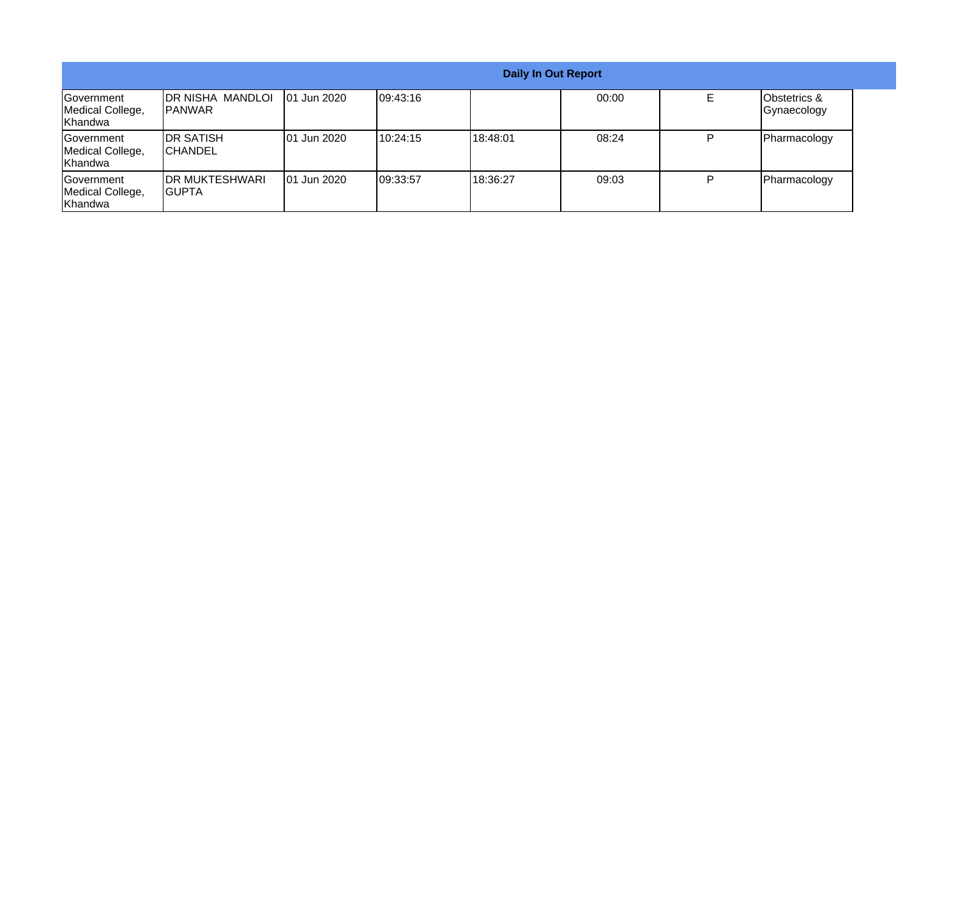|                                                  |                                           |              |           | <b>Daily In Out Report</b> |       |                                    |
|--------------------------------------------------|-------------------------------------------|--------------|-----------|----------------------------|-------|------------------------------------|
| <b>Sovernment</b><br>Medical College,<br>Khandwa | <b>DR NISHA MANDLOI</b><br><b>IPANWAR</b> | 101 Jun 2020 | 109:43:16 |                            | 00:00 | Obstetrics &<br><b>Gynaecology</b> |
| Government<br>Medical College,<br>Khandwa        | <b>IDR SATISH</b><br><b>CHANDEL</b>       | 101 Jun 2020 | 110:24:15 | 18:48:01                   | 08:24 | Pharmacology                       |
| Government<br>Medical College,<br>Khandwa        | <b>IDR MUKTESHWARI</b><br>IGUPTA          | 101 Jun 2020 | 109:33:57 | 18:36:27                   | 09:03 | Pharmacology                       |